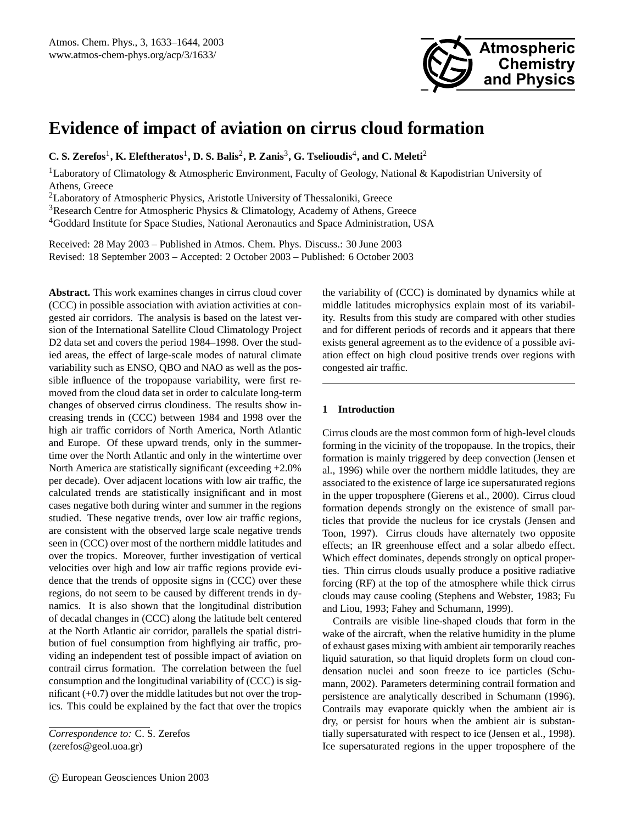# **Evidence of impact of aviation on cirrus cloud formation**

**C. S. Zerefos**<sup>1</sup> **, K. Eleftheratos**<sup>1</sup> **, D. S. Balis**<sup>2</sup> **, P. Zanis**<sup>3</sup> **, G. Tselioudis**<sup>4</sup> **, and C. Meleti**<sup>2</sup>

<sup>1</sup>Laboratory of Climatology & Atmospheric Environment, Faculty of Geology, National & Kapodistrian University of Athens, Greece

<sup>2</sup>Laboratory of Atmospheric Physics, Aristotle University of Thessaloniki, Greece

<sup>3</sup>Research Centre for Atmospheric Physics & Climatology, Academy of Athens, Greece

<sup>4</sup>Goddard Institute for Space Studies, National Aeronautics and Space Administration, USA

Received: 28 May 2003 – Published in Atmos. Chem. Phys. Discuss.: 30 June 2003 Revised: 18 September 2003 – Accepted: 2 October 2003 – Published: 6 October 2003

**Abstract.** This work examines changes in cirrus cloud cover (CCC) in possible association with aviation activities at congested air corridors. The analysis is based on the latest version of the International Satellite Cloud Climatology Project D2 data set and covers the period 1984–1998. Over the studied areas, the effect of large-scale modes of natural climate variability such as ENSO, QBO and NAO as well as the possible influence of the tropopause variability, were first removed from the cloud data set in order to calculate long-term changes of observed cirrus cloudiness. The results show increasing trends in (CCC) between 1984 and 1998 over the high air traffic corridors of North America, North Atlantic and Europe. Of these upward trends, only in the summertime over the North Atlantic and only in the wintertime over North America are statistically significant (exceeding +2.0% per decade). Over adjacent locations with low air traffic, the calculated trends are statistically insignificant and in most cases negative both during winter and summer in the regions studied. These negative trends, over low air traffic regions, are consistent with the observed large scale negative trends seen in (CCC) over most of the northern middle latitudes and over the tropics. Moreover, further investigation of vertical velocities over high and low air traffic regions provide evidence that the trends of opposite signs in (CCC) over these regions, do not seem to be caused by different trends in dynamics. It is also shown that the longitudinal distribution of decadal changes in (CCC) along the latitude belt centered at the North Atlantic air corridor, parallels the spatial distribution of fuel consumption from highflying air traffic, providing an independent test of possible impact of aviation on contrail cirrus formation. The correlation between the fuel consumption and the longitudinal variability of (CCC) is significant  $(+0.7)$  over the middle latitudes but not over the tropics. This could be explained by the fact that over the tropics

*Correspondence to:* C. S. Zerefos (zerefos@geol.uoa.gr)

the variability of (CCC) is dominated by dynamics while at middle latitudes microphysics explain most of its variability. Results from this study are compared with other studies and for different periods of records and it appears that there exists general agreement as to the evidence of a possible aviation effect on high cloud positive trends over regions with congested air traffic.

**Chemistry and Physics**

# **1 Introduction**

Cirrus clouds are the most common form of high-level clouds forming in the vicinity of the tropopause. In the tropics, their formation is mainly triggered by deep convection (Jensen et al., 1996) while over the northern middle latitudes, they are associated to the existence of large ice supersaturated regions in the upper troposphere (Gierens et al., 2000). Cirrus cloud formation depends strongly on the existence of small particles that provide the nucleus for ice crystals (Jensen and Toon, 1997). Cirrus clouds have alternately two opposite effects; an IR greenhouse effect and a solar albedo effect. Which effect dominates, depends strongly on optical properties. Thin cirrus clouds usually produce a positive radiative forcing (RF) at the top of the atmosphere while thick cirrus clouds may cause cooling (Stephens and Webster, 1983; Fu and Liou, 1993; Fahey and Schumann, 1999).

Contrails are visible line-shaped clouds that form in the wake of the aircraft, when the relative humidity in the plume of exhaust gases mixing with ambient air temporarily reaches liquid saturation, so that liquid droplets form on cloud condensation nuclei and soon freeze to ice particles (Schumann, 2002). Parameters determining contrail formation and persistence are analytically described in Schumann (1996). Contrails may evaporate quickly when the ambient air is dry, or persist for hours when the ambient air is substantially supersaturated with respect to ice (Jensen et al., 1998). Ice supersaturated regions in the upper troposphere of the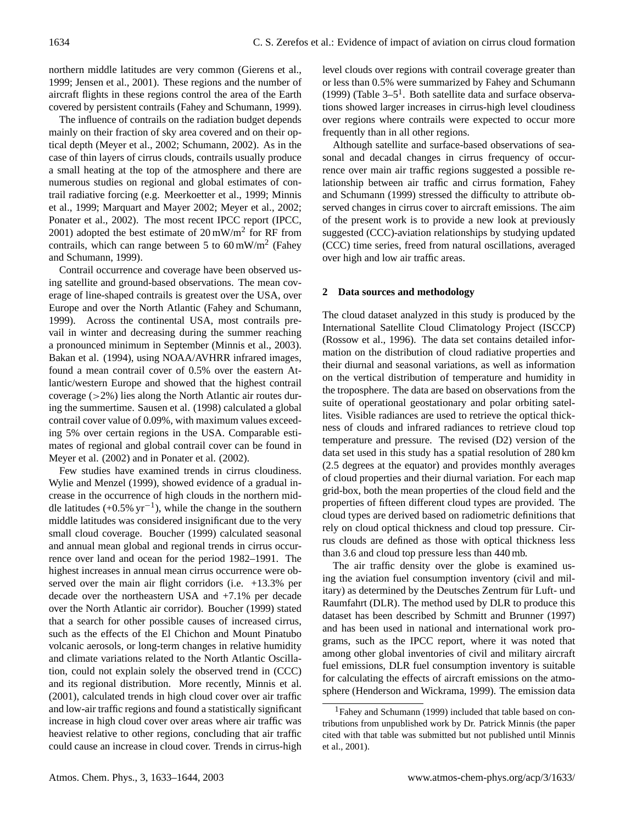northern middle latitudes are very common (Gierens et al., 1999; Jensen et al., 2001). These regions and the number of aircraft flights in these regions control the area of the Earth covered by persistent contrails (Fahey and Schumann, 1999).

The influence of contrails on the radiation budget depends mainly on their fraction of sky area covered and on their optical depth (Meyer et al., 2002; Schumann, 2002). As in the case of thin layers of cirrus clouds, contrails usually produce a small heating at the top of the atmosphere and there are numerous studies on regional and global estimates of contrail radiative forcing (e.g. Meerkoetter et al., 1999; Minnis et al., 1999; Marquart and Mayer 2002; Meyer et al., 2002; Ponater et al., 2002). The most recent IPCC report (IPCC, 2001) adopted the best estimate of  $20 \text{ mW/m}^2$  for RF from contrails, which can range between 5 to  $60 \text{ mW/m}^2$  (Fahey and Schumann, 1999).

Contrail occurrence and coverage have been observed using satellite and ground-based observations. The mean coverage of line-shaped contrails is greatest over the USA, over Europe and over the North Atlantic (Fahey and Schumann, 1999). Across the continental USA, most contrails prevail in winter and decreasing during the summer reaching a pronounced minimum in September (Minnis et al., 2003). Bakan et al. (1994), using NOAA/AVHRR infrared images, found a mean contrail cover of 0.5% over the eastern Atlantic/western Europe and showed that the highest contrail coverage (>2%) lies along the North Atlantic air routes during the summertime. Sausen et al. (1998) calculated a global contrail cover value of 0.09%, with maximum values exceeding 5% over certain regions in the USA. Comparable estimates of regional and global contrail cover can be found in Meyer et al. (2002) and in Ponater et al. (2002).

Few studies have examined trends in cirrus cloudiness. Wylie and Menzel (1999), showed evidence of a gradual increase in the occurrence of high clouds in the northern middle latitudes (+0.5%  $yr^{-1}$ ), while the change in the southern middle latitudes was considered insignificant due to the very small cloud coverage. Boucher (1999) calculated seasonal and annual mean global and regional trends in cirrus occurrence over land and ocean for the period 1982–1991. The highest increases in annual mean cirrus occurrence were observed over the main air flight corridors (i.e. +13.3% per decade over the northeastern USA and +7.1% per decade over the North Atlantic air corridor). Boucher (1999) stated that a search for other possible causes of increased cirrus, such as the effects of the El Chichon and Mount Pinatubo volcanic aerosols, or long-term changes in relative humidity and climate variations related to the North Atlantic Oscillation, could not explain solely the observed trend in (CCC) and its regional distribution. More recently, Minnis et al. (2001), calculated trends in high cloud cover over air traffic and low-air traffic regions and found a statistically significant increase in high cloud cover over areas where air traffic was heaviest relative to other regions, concluding that air traffic could cause an increase in cloud cover. Trends in cirrus-high level clouds over regions with contrail coverage greater than or less than 0.5% were summarized by Fahey and Schumann (1999) (Table  $3-5<sup>1</sup>$ . Both satellite data and surface observations showed larger increases in cirrus-high level cloudiness over regions where contrails were expected to occur more frequently than in all other regions.

Although satellite and surface-based observations of seasonal and decadal changes in cirrus frequency of occurrence over main air traffic regions suggested a possible relationship between air traffic and cirrus formation, Fahey and Schumann (1999) stressed the difficulty to attribute observed changes in cirrus cover to aircraft emissions. The aim of the present work is to provide a new look at previously suggested (CCC)-aviation relationships by studying updated (CCC) time series, freed from natural oscillations, averaged over high and low air traffic areas.

## **2 Data sources and methodology**

The cloud dataset analyzed in this study is produced by the International Satellite Cloud Climatology Project (ISCCP) (Rossow et al., 1996). The data set contains detailed information on the distribution of cloud radiative properties and their diurnal and seasonal variations, as well as information on the vertical distribution of temperature and humidity in the troposphere. The data are based on observations from the suite of operational geostationary and polar orbiting satellites. Visible radiances are used to retrieve the optical thickness of clouds and infrared radiances to retrieve cloud top temperature and pressure. The revised (D2) version of the data set used in this study has a spatial resolution of 280 km (2.5 degrees at the equator) and provides monthly averages of cloud properties and their diurnal variation. For each map grid-box, both the mean properties of the cloud field and the properties of fifteen different cloud types are provided. The cloud types are derived based on radiometric definitions that rely on cloud optical thickness and cloud top pressure. Cirrus clouds are defined as those with optical thickness less than 3.6 and cloud top pressure less than 440 mb.

The air traffic density over the globe is examined using the aviation fuel consumption inventory (civil and military) as determined by the Deutsches Zentrum für Luft- und Raumfahrt (DLR). The method used by DLR to produce this dataset has been described by Schmitt and Brunner (1997) and has been used in national and international work programs, such as the IPCC report, where it was noted that among other global inventories of civil and military aircraft fuel emissions, DLR fuel consumption inventory is suitable for calculating the effects of aircraft emissions on the atmosphere (Henderson and Wickrama, 1999). The emission data

<sup>1</sup>Fahey and Schumann (1999) included that table based on contributions from unpublished work by Dr. Patrick Minnis (the paper cited with that table was submitted but not published until Minnis et al., 2001).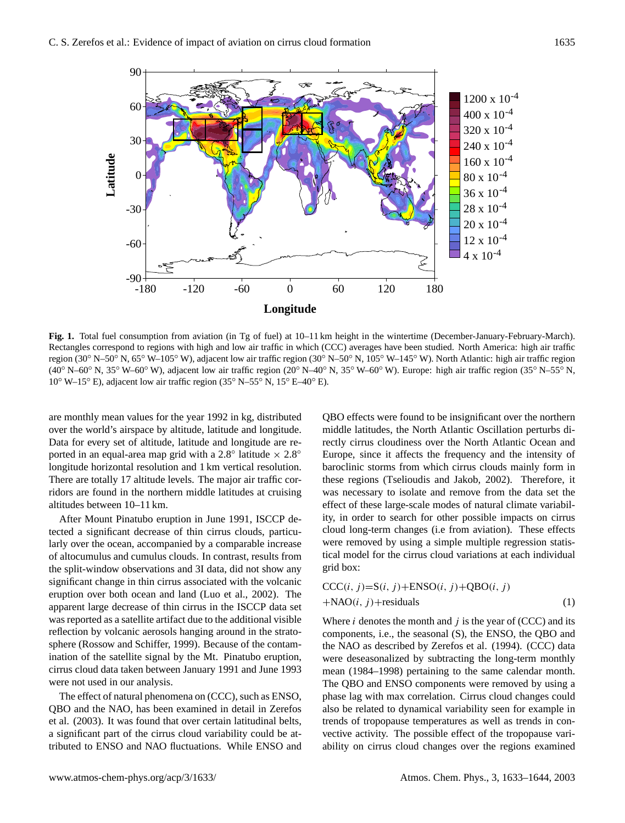

**Fig. 1.** Total fuel consumption from aviation (in Tg of fuel) at 10–11 km height in the wintertime (December-January-February-March). Rectangles correspond to regions with high and low air traffic in which (CCC) averages have been studied. North America: high air traffic region (30◦ N–50◦ N, 65◦ W–105◦ W), adjacent low air traffic region (30◦ N–50◦ N, 105◦ W–145◦ W). North Atlantic: high air traffic region (40◦ N–60◦ N, 35◦ W–60◦ W), adjacent low air traffic region (20◦ N–40◦ N, 35◦ W–60◦ W). Europe: high air traffic region (35◦ N–55◦ N, 10◦ W–15◦ E), adjacent low air traffic region (35◦ N–55◦ N, 15◦ E–40◦ E).

are monthly mean values for the year 1992 in kg, distributed over the world's airspace by altitude, latitude and longitude. Data for every set of altitude, latitude and longitude are reported in an equal-area map grid with a 2.8 $\textdegree$  latitude  $\times$  2.8 $\textdegree$ longitude horizontal resolution and 1 km vertical resolution. There are totally 17 altitude levels. The major air traffic corridors are found in the northern middle latitudes at cruising altitudes between 10–11 km.

After Mount Pinatubo eruption in June 1991, ISCCP detected a significant decrease of thin cirrus clouds, particularly over the ocean, accompanied by a comparable increase of altocumulus and cumulus clouds. In contrast, results from the split-window observations and 3I data, did not show any significant change in thin cirrus associated with the volcanic eruption over both ocean and land (Luo et al., 2002). The apparent large decrease of thin cirrus in the ISCCP data set was reported as a satellite artifact due to the additional visible reflection by volcanic aerosols hanging around in the stratosphere (Rossow and Schiffer, 1999). Because of the contamination of the satellite signal by the Mt. Pinatubo eruption, cirrus cloud data taken between January 1991 and June 1993 were not used in our analysis.

The effect of natural phenomena on (CCC), such as ENSO, QBO and the NAO, has been examined in detail in Zerefos et al. (2003). It was found that over certain latitudinal belts, a significant part of the cirrus cloud variability could be attributed to ENSO and NAO fluctuations. While ENSO and QBO effects were found to be insignificant over the northern middle latitudes, the North Atlantic Oscillation perturbs directly cirrus cloudiness over the North Atlantic Ocean and Europe, since it affects the frequency and the intensity of baroclinic storms from which cirrus clouds mainly form in these regions (Tselioudis and Jakob, 2002). Therefore, it was necessary to isolate and remove from the data set the effect of these large-scale modes of natural climate variability, in order to search for other possible impacts on cirrus cloud long-term changes (i.e from aviation). These effects were removed by using a simple multiple regression statistical model for the cirrus cloud variations at each individual grid box:

$$
CCC(i, j)=S(i, j)+ENSO(i, j)+QBO(i, j)
$$
  
+NAO(i, j)+residuals (1)

Where  $i$  denotes the month and  $j$  is the year of (CCC) and its components, i.e., the seasonal (S), the ENSO, the QBO and the NAO as described by Zerefos et al. (1994). (CCC) data were deseasonalized by subtracting the long-term monthly mean (1984–1998) pertaining to the same calendar month. The QBO and ENSO components were removed by using a phase lag with max correlation. Cirrus cloud changes could also be related to dynamical variability seen for example in trends of tropopause temperatures as well as trends in convective activity. The possible effect of the tropopause variability on cirrus cloud changes over the regions examined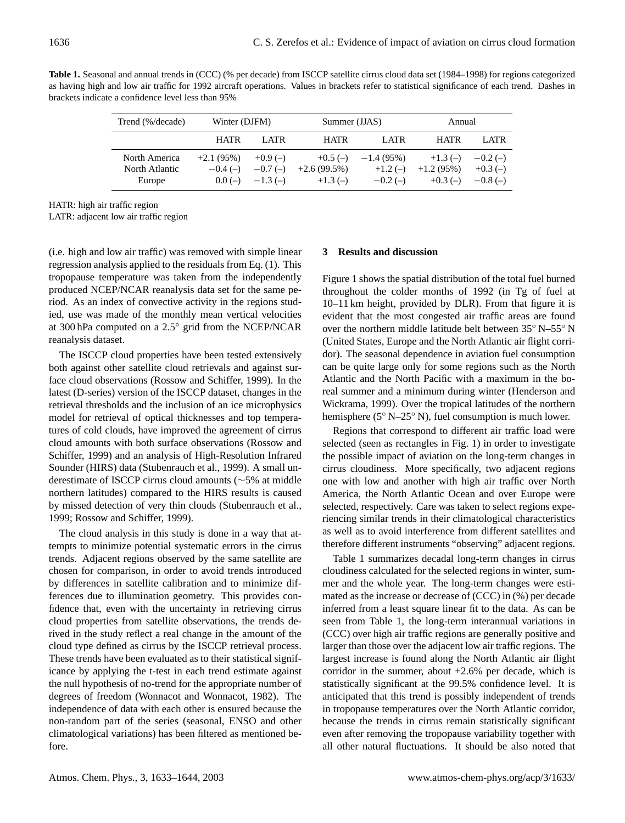**Table 1.** Seasonal and annual trends in (CCC) (% per decade) from ISCCP satellite cirrus cloud data set (1984–1998) for regions categorized as having high and low air traffic for 1992 aircraft operations. Values in brackets refer to statistical significance of each trend. Dashes in brackets indicate a confidence level less than 95%

| Trend (%/decade)                          | Winter (DJFM)            |                                            | Summer (JJAS)                           |                                        | Annual                                |                                     |
|-------------------------------------------|--------------------------|--------------------------------------------|-----------------------------------------|----------------------------------------|---------------------------------------|-------------------------------------|
|                                           | <b>HATR</b>              | LATR.                                      | <b>HATR</b>                             | LATR.                                  | <b>HATR</b>                           | LATR.                               |
| North America<br>North Atlantic<br>Europe | $+2.1(95%)$<br>$-0.4(-)$ | $+0.9(-)$<br>$-0.7(-)$<br>$0.0(-) -1.3(-)$ | $+0.5(-)$<br>$+2.6(99.5%)$<br>$+1.3(-)$ | $-1.4(95\%)$<br>$+1.2(-)$<br>$-0.2(-)$ | $+1.3(-)$<br>$+1.2(95%)$<br>$+0.3(-)$ | $-0.2(-)$<br>$+0.3(-)$<br>$-0.8(-)$ |

HATR: high air traffic region

LATR: adjacent low air traffic region

(i.e. high and low air traffic) was removed with simple linear regression analysis applied to the residuals from Eq. (1). This tropopause temperature was taken from the independently produced NCEP/NCAR reanalysis data set for the same period. As an index of convective activity in the regions studied, use was made of the monthly mean vertical velocities at 300 hPa computed on a 2.5◦ grid from the NCEP/NCAR reanalysis dataset.

The ISCCP cloud properties have been tested extensively both against other satellite cloud retrievals and against surface cloud observations (Rossow and Schiffer, 1999). In the latest (D-series) version of the ISCCP dataset, changes in the retrieval thresholds and the inclusion of an ice microphysics model for retrieval of optical thicknesses and top temperatures of cold clouds, have improved the agreement of cirrus cloud amounts with both surface observations (Rossow and Schiffer, 1999) and an analysis of High-Resolution Infrared Sounder (HIRS) data (Stubenrauch et al., 1999). A small underestimate of ISCCP cirrus cloud amounts (∼5% at middle northern latitudes) compared to the HIRS results is caused by missed detection of very thin clouds (Stubenrauch et al., 1999; Rossow and Schiffer, 1999).

The cloud analysis in this study is done in a way that attempts to minimize potential systematic errors in the cirrus trends. Adjacent regions observed by the same satellite are chosen for comparison, in order to avoid trends introduced by differences in satellite calibration and to minimize differences due to illumination geometry. This provides confidence that, even with the uncertainty in retrieving cirrus cloud properties from satellite observations, the trends derived in the study reflect a real change in the amount of the cloud type defined as cirrus by the ISCCP retrieval process. These trends have been evaluated as to their statistical significance by applying the t-test in each trend estimate against the null hypothesis of no-trend for the appropriate number of degrees of freedom (Wonnacot and Wonnacot, 1982). The independence of data with each other is ensured because the non-random part of the series (seasonal, ENSO and other climatological variations) has been filtered as mentioned before.

# **3 Results and discussion**

Figure 1 shows the spatial distribution of the total fuel burned throughout the colder months of 1992 (in Tg of fuel at 10–11 km height, provided by DLR). From that figure it is evident that the most congested air traffic areas are found over the northern middle latitude belt between 35◦ N–55◦ N (United States, Europe and the North Atlantic air flight corridor). The seasonal dependence in aviation fuel consumption can be quite large only for some regions such as the North Atlantic and the North Pacific with a maximum in the boreal summer and a minimum during winter (Henderson and Wickrama, 1999). Over the tropical latitudes of the northern hemisphere (5<sup>°</sup> N–25<sup>°</sup> N), fuel consumption is much lower.

Regions that correspond to different air traffic load were selected (seen as rectangles in Fig. 1) in order to investigate the possible impact of aviation on the long-term changes in cirrus cloudiness. More specifically, two adjacent regions one with low and another with high air traffic over North America, the North Atlantic Ocean and over Europe were selected, respectively. Care was taken to select regions experiencing similar trends in their climatological characteristics as well as to avoid interference from different satellites and therefore different instruments "observing" adjacent regions.

Table 1 summarizes decadal long-term changes in cirrus cloudiness calculated for the selected regions in winter, summer and the whole year. The long-term changes were estimated as the increase or decrease of (CCC) in (%) per decade inferred from a least square linear fit to the data. As can be seen from Table 1, the long-term interannual variations in (CCC) over high air traffic regions are generally positive and larger than those over the adjacent low air traffic regions. The largest increase is found along the North Atlantic air flight corridor in the summer, about +2.6% per decade, which is statistically significant at the 99.5% confidence level. It is anticipated that this trend is possibly independent of trends in tropopause temperatures over the North Atlantic corridor, because the trends in cirrus remain statistically significant even after removing the tropopause variability together with all other natural fluctuations. It should be also noted that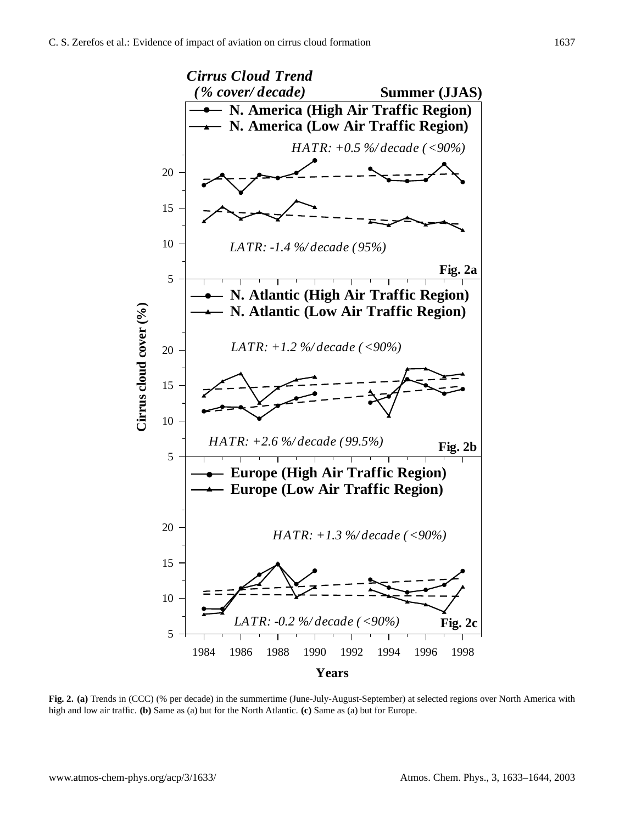

**Fig. 2. (a)** Trends in (CCC) (% per decade) in the summertime (June-July-August-September) at selected regions over North America with high and low air traffic. **(b)** Same as (a) but for the North Atlantic. **(c)** Same as (a) but for Europe.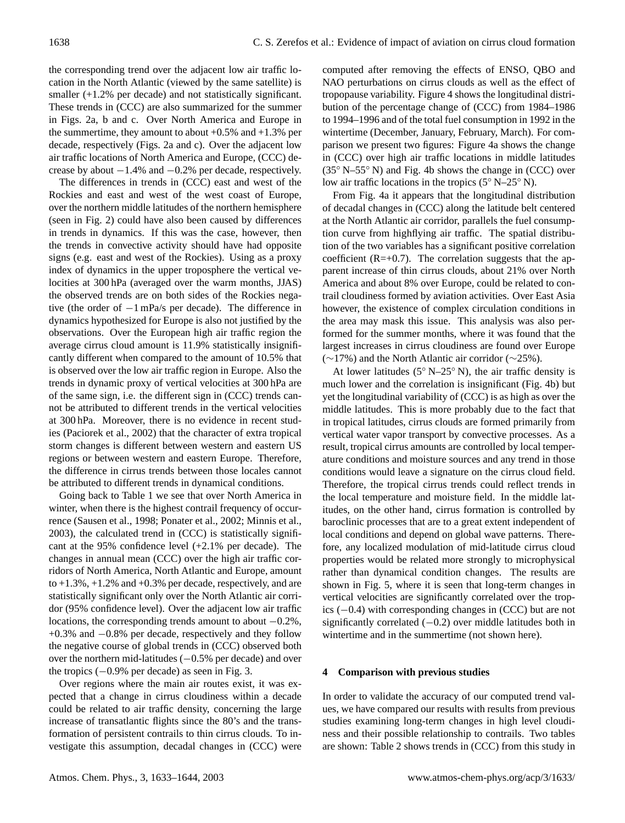the corresponding trend over the adjacent low air traffic location in the North Atlantic (viewed by the same satellite) is smaller  $(+1.2\%$  per decade) and not statistically significant. These trends in (CCC) are also summarized for the summer in Figs. 2a, b and c. Over North America and Europe in the summertime, they amount to about  $+0.5\%$  and  $+1.3\%$  per decade, respectively (Figs. 2a and c). Over the adjacent low air traffic locations of North America and Europe, (CCC) decrease by about  $-1.4\%$  and  $-0.2\%$  per decade, respectively.

The differences in trends in (CCC) east and west of the Rockies and east and west of the west coast of Europe, over the northern middle latitudes of the northern hemisphere (seen in Fig. 2) could have also been caused by differences in trends in dynamics. If this was the case, however, then the trends in convective activity should have had opposite signs (e.g. east and west of the Rockies). Using as a proxy index of dynamics in the upper troposphere the vertical velocities at 300 hPa (averaged over the warm months, JJAS) the observed trends are on both sides of the Rockies negative (the order of −1 mPa/s per decade). The difference in dynamics hypothesized for Europe is also not justified by the observations. Over the European high air traffic region the average cirrus cloud amount is 11.9% statistically insignificantly different when compared to the amount of 10.5% that is observed over the low air traffic region in Europe. Also the trends in dynamic proxy of vertical velocities at 300 hPa are of the same sign, i.e. the different sign in (CCC) trends cannot be attributed to different trends in the vertical velocities at 300 hPa. Moreover, there is no evidence in recent studies (Paciorek et al., 2002) that the character of extra tropical storm changes is different between western and eastern US regions or between western and eastern Europe. Therefore, the difference in cirrus trends between those locales cannot be attributed to different trends in dynamical conditions.

Going back to Table 1 we see that over North America in winter, when there is the highest contrail frequency of occurrence (Sausen et al., 1998; Ponater et al., 2002; Minnis et al., 2003), the calculated trend in (CCC) is statistically significant at the 95% confidence level (+2.1% per decade). The changes in annual mean (CCC) over the high air traffic corridors of North America, North Atlantic and Europe, amount to  $+1.3\%$ ,  $+1.2\%$  and  $+0.3\%$  per decade, respectively, and are statistically significant only over the North Atlantic air corridor (95% confidence level). Over the adjacent low air traffic locations, the corresponding trends amount to about −0.2%, +0.3% and −0.8% per decade, respectively and they follow the negative course of global trends in (CCC) observed both over the northern mid-latitudes (−0.5% per decade) and over the tropics (−0.9% per decade) as seen in Fig. 3.

Over regions where the main air routes exist, it was expected that a change in cirrus cloudiness within a decade could be related to air traffic density, concerning the large increase of transatlantic flights since the 80's and the transformation of persistent contrails to thin cirrus clouds. To investigate this assumption, decadal changes in (CCC) were computed after removing the effects of ENSO, QBO and NAO perturbations on cirrus clouds as well as the effect of tropopause variability. Figure 4 shows the longitudinal distribution of the percentage change of (CCC) from 1984–1986 to 1994–1996 and of the total fuel consumption in 1992 in the wintertime (December, January, February, March). For comparison we present two figures: Figure 4a shows the change in (CCC) over high air traffic locations in middle latitudes  $(35° N-55° N)$  and Fig. 4b shows the change in (CCC) over low air traffic locations in the tropics  $(5° N-25° N)$ .

From Fig. 4a it appears that the longitudinal distribution of decadal changes in (CCC) along the latitude belt centered at the North Atlantic air corridor, parallels the fuel consumption curve from highflying air traffic. The spatial distribution of the two variables has a significant positive correlation coefficient ( $R=+0.7$ ). The correlation suggests that the apparent increase of thin cirrus clouds, about 21% over North America and about 8% over Europe, could be related to contrail cloudiness formed by aviation activities. Over East Asia however, the existence of complex circulation conditions in the area may mask this issue. This analysis was also performed for the summer months, where it was found that the largest increases in cirrus cloudiness are found over Europe (∼17%) and the North Atlantic air corridor (∼25%).

At lower latitudes ( $5°$  N– $25°$  N), the air traffic density is much lower and the correlation is insignificant (Fig. 4b) but yet the longitudinal variability of (CCC) is as high as over the middle latitudes. This is more probably due to the fact that in tropical latitudes, cirrus clouds are formed primarily from vertical water vapor transport by convective processes. As a result, tropical cirrus amounts are controlled by local temperature conditions and moisture sources and any trend in those conditions would leave a signature on the cirrus cloud field. Therefore, the tropical cirrus trends could reflect trends in the local temperature and moisture field. In the middle latitudes, on the other hand, cirrus formation is controlled by baroclinic processes that are to a great extent independent of local conditions and depend on global wave patterns. Therefore, any localized modulation of mid-latitude cirrus cloud properties would be related more strongly to microphysical rather than dynamical condition changes. The results are shown in Fig. 5, where it is seen that long-term changes in vertical velocities are significantly correlated over the tropics (−0.4) with corresponding changes in (CCC) but are not significantly correlated  $(-0.2)$  over middle latitudes both in wintertime and in the summertime (not shown here).

### **4 Comparison with previous studies**

In order to validate the accuracy of our computed trend values, we have compared our results with results from previous studies examining long-term changes in high level cloudiness and their possible relationship to contrails. Two tables are shown: Table 2 shows trends in (CCC) from this study in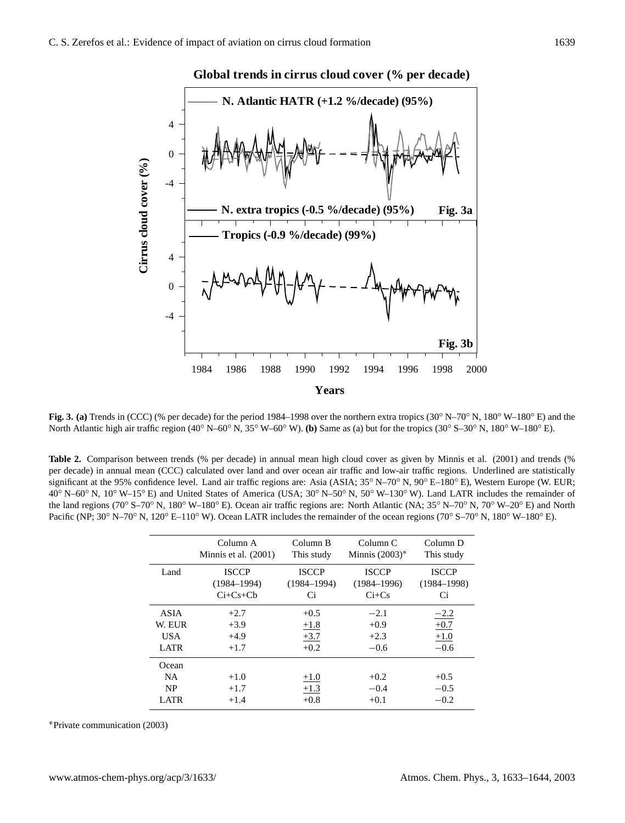

**Global trends in cirrus cloud cover (% per decade)**

**Fig. 3. (a)** Trends in (CCC) (% per decade) for the period 1984–1998 over the northern extra tropics (30◦ N–70◦ N, 180◦ W–180◦ E) and the North Atlantic high air traffic region (40◦ N–60◦ N, 35◦ W–60◦ W). **(b)** Same as (a) but for the tropics (30◦ S–30◦ N, 180◦ W–180◦ E).

**Table 2.** Comparison between trends (% per decade) in annual mean high cloud cover as given by Minnis et al. (2001) and trends (% per decade) in annual mean (CCC) calculated over land and over ocean air traffic and low-air traffic regions. Underlined are statistically significant at the 95% confidence level. Land air traffic regions are: Asia (ASIA; 35° N–70° N, 90° E–180° E), Western Europe (W. EUR; 40◦ N–60◦ N, 10◦ W–15◦ E) and United States of America (USA; 30◦ N–50◦ N, 50◦ W–130◦ W). Land LATR includes the remainder of the land regions (70◦ S–70◦ N, 180◦ W–180◦ E). Ocean air traffic regions are: North Atlantic (NA; 35◦ N–70◦ N, 70◦ W–20◦ E) and North Pacific (NP; 30° N–70° N, 120° E–110° W). Ocean LATR includes the remainder of the ocean regions (70° S–70° N, 180° W–180° E).

|                                   | Column A                   | Column B                   | Column C                   | Column D                   |
|-----------------------------------|----------------------------|----------------------------|----------------------------|----------------------------|
|                                   | Minnis et al. $(2001)$     | This study                 | Minnis $(2003)^*$          | This study                 |
| Land                              | <b>ISCCP</b>               | <b>ISCCP</b>               | <b>ISCCP</b>               | <b>ISCCP</b>               |
|                                   | $(1984 - 1994)$            | $(1984 - 1994)$            | $(1984 - 1996)$            | $(1984 - 1998)$            |
|                                   | $Ci+Cs+Cb$                 | Ci                         | $Ci+Cs$                    | Сi                         |
| <b>ASIA</b>                       | $+2.7$                     | $+0.5$                     | $-2.1$                     | $-2.2$                     |
| W. EUR                            | $+3.9$                     | $+1.8$                     | $+0.9$                     | $+0.7$                     |
| <b>USA</b>                        | $+4.9$                     | $+3.7$                     | $+2.3$                     | $+1.0$                     |
| <b>LATR</b>                       | $+1.7$                     | $+0.2$                     | $-0.6$                     | $-0.6$                     |
| Ocean<br>NA.<br>NP<br><b>LATR</b> | $+1.0$<br>$+1.7$<br>$+1.4$ | $+1.0$<br>$+1.3$<br>$+0.8$ | $+0.2$<br>$-0.4$<br>$+0.1$ | $+0.5$<br>$-0.5$<br>$-0.2$ |

<sup>∗</sup>Private communication (2003)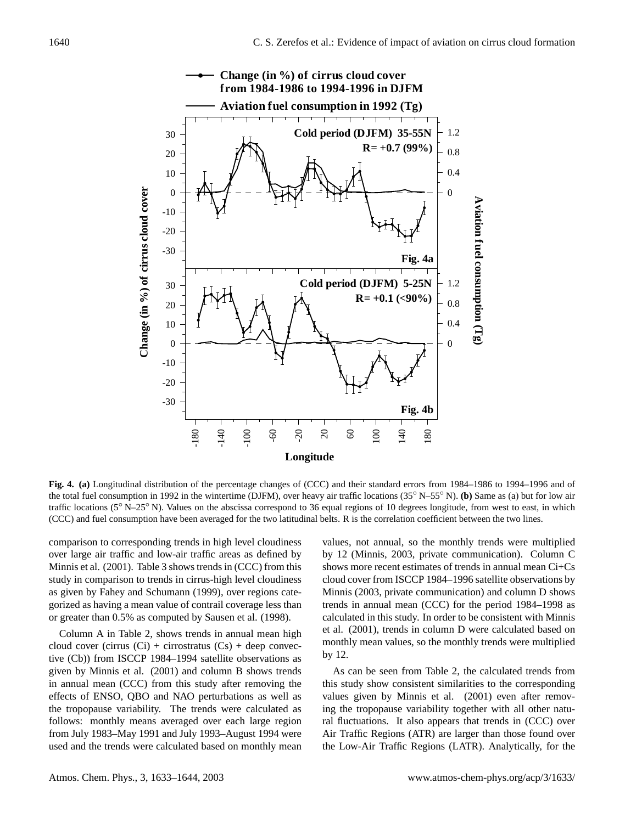

**Fig. 4. (a)** Longitudinal distribution of the percentage changes of (CCC) and their standard errors from 1984–1986 to 1994–1996 and of the total fuel consumption in 1992 in the wintertime (DJFM), over heavy air traffic locations (35◦ N–55◦ N). **(b)** Same as (a) but for low air traffic locations (5◦ N–25◦ N). Values on the abscissa correspond to 36 equal regions of 10 degrees longitude, from west to east, in which (CCC) and fuel consumption have been averaged for the two latitudinal belts. R is the correlation coefficient between the two lines.

comparison to corresponding trends in high level cloudiness over large air traffic and low-air traffic areas as defined by Minnis et al. (2001). Table 3 shows trends in (CCC) from this study in comparison to trends in cirrus-high level cloudiness as given by Fahey and Schumann (1999), over regions categorized as having a mean value of contrail coverage less than or greater than 0.5% as computed by Sausen et al. (1998).

Column A in Table 2, shows trends in annual mean high cloud cover (cirrus  $(Ci)$  + cirrostratus  $(Cs)$  + deep convective (Cb)) from ISCCP 1984–1994 satellite observations as given by Minnis et al. (2001) and column B shows trends in annual mean (CCC) from this study after removing the effects of ENSO, QBO and NAO perturbations as well as the tropopause variability. The trends were calculated as follows: monthly means averaged over each large region from July 1983–May 1991 and July 1993–August 1994 were used and the trends were calculated based on monthly mean

values, not annual, so the monthly trends were multiplied by 12 (Minnis, 2003, private communication). Column C shows more recent estimates of trends in annual mean Ci+Cs cloud cover from ISCCP 1984–1996 satellite observations by Minnis (2003, private communication) and column D shows trends in annual mean (CCC) for the period 1984–1998 as calculated in this study. In order to be consistent with Minnis et al. (2001), trends in column D were calculated based on monthly mean values, so the monthly trends were multiplied by 12.

As can be seen from Table 2, the calculated trends from this study show consistent similarities to the corresponding values given by Minnis et al. (2001) even after removing the tropopause variability together with all other natural fluctuations. It also appears that trends in (CCC) over Air Traffic Regions (ATR) are larger than those found over the Low-Air Traffic Regions (LATR). Analytically, for the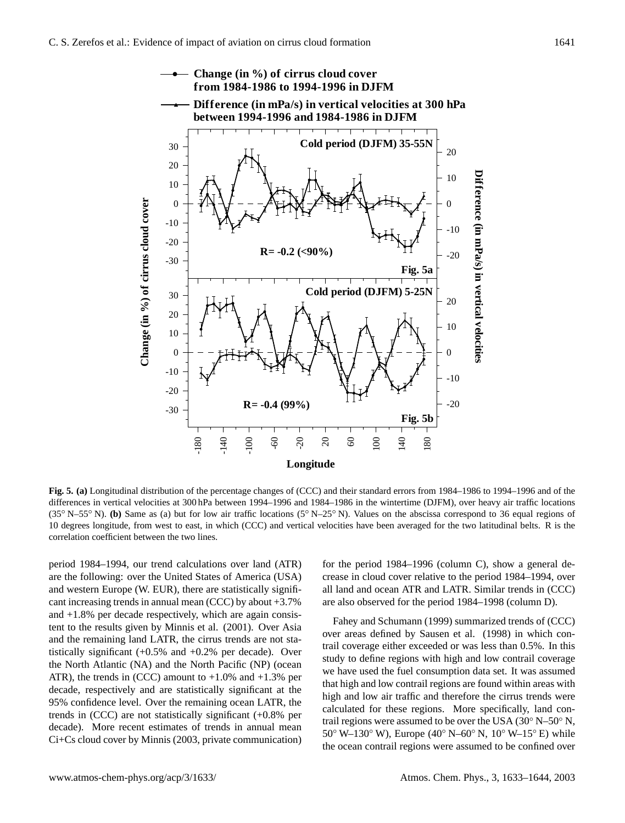

**Fig. 5. (a)** Longitudinal distribution of the percentage changes of (CCC) and their standard errors from 1984–1986 to 1994–1996 and of the differences in vertical velocities at 300 hPa between 1994–1996 and 1984–1986 in the wintertime (DJFM), over heavy air traffic locations (35◦ N–55◦ N). **(b)** Same as (a) but for low air traffic locations (5◦ N–25◦ N). Values on the abscissa correspond to 36 equal regions of 10 degrees longitude, from west to east, in which (CCC) and vertical velocities have been averaged for the two latitudinal belts. R is the correlation coefficient between the two lines.

period 1984–1994, our trend calculations over land (ATR) are the following: over the United States of America (USA) and western Europe (W. EUR), there are statistically significant increasing trends in annual mean (CCC) by about +3.7% and +1.8% per decade respectively, which are again consistent to the results given by Minnis et al. (2001). Over Asia and the remaining land LATR, the cirrus trends are not statistically significant  $(+0.5\%$  and  $+0.2\%$  per decade). Over the North Atlantic (NA) and the North Pacific (NP) (ocean ATR), the trends in (CCC) amount to  $+1.0\%$  and  $+1.3\%$  per decade, respectively and are statistically significant at the 95% confidence level. Over the remaining ocean LATR, the trends in (CCC) are not statistically significant (+0.8% per decade). More recent estimates of trends in annual mean Ci+Cs cloud cover by Minnis (2003, private communication)

for the period 1984–1996 (column C), show a general decrease in cloud cover relative to the period 1984–1994, over all land and ocean ATR and LATR. Similar trends in (CCC) are also observed for the period 1984–1998 (column D).

Fahey and Schumann (1999) summarized trends of (CCC) over areas defined by Sausen et al. (1998) in which contrail coverage either exceeded or was less than 0.5%. In this study to define regions with high and low contrail coverage we have used the fuel consumption data set. It was assumed that high and low contrail regions are found within areas with high and low air traffic and therefore the cirrus trends were calculated for these regions. More specifically, land contrail regions were assumed to be over the USA (30 $\degree$  N–50 $\degree$  N, 50◦ W–130◦ W), Europe (40◦ N–60◦ N, 10◦ W–15◦ E) while the ocean contrail regions were assumed to be confined over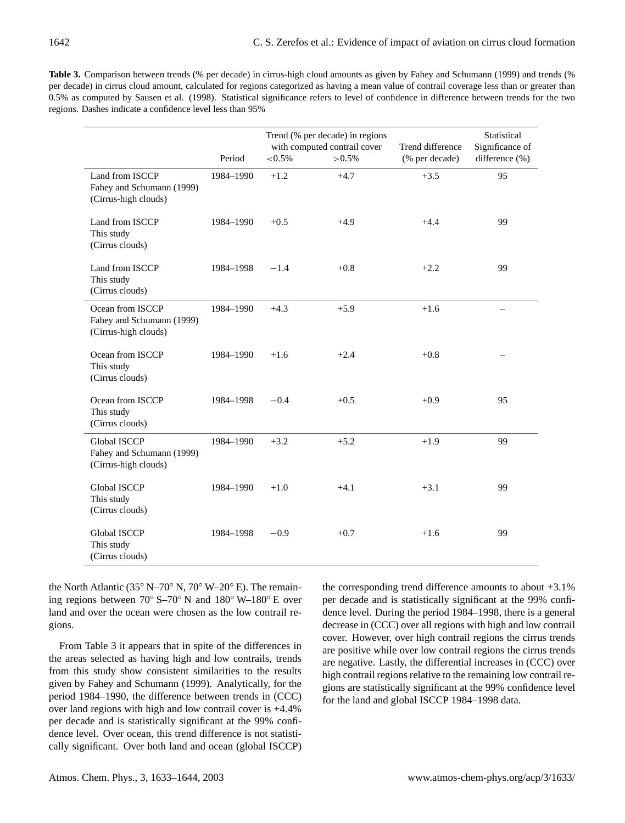**Table 3.** Comparison between trends (% per decade) in cirrus-high cloud amounts as given by Fahey and Schumann (1999) and trends (% per decade) in cirrus cloud amount, calculated for regions categorized as having a mean value of contrail coverage less than or greater than 0.5% as computed by Sausen et al. (1998). Statistical significance refers to level of confidence in difference between trends for the two regions. Dashes indicate a confidence level less than 95%

|                                                                          | Period    | Trend (% per decade) in regions<br>with computed contrail cover<br>${<}0.5\%$<br>$>0.5\%$ |        | Trend difference<br>(% per decade) | Statistical<br>Significance of<br>difference (%) |
|--------------------------------------------------------------------------|-----------|-------------------------------------------------------------------------------------------|--------|------------------------------------|--------------------------------------------------|
| Land from ISCCP<br>Fahey and Schumann (1999)<br>(Cirrus-high clouds)     | 1984-1990 | $+1.2$                                                                                    | $+4.7$ | $+3.5$                             | 95                                               |
| Land from ISCCP<br>This study<br>(Cirrus clouds)                         | 1984-1990 | $+0.5$                                                                                    | $+4.9$ | $+4.4$                             | 99                                               |
| Land from ISCCP<br>This study<br>(Cirrus clouds)                         | 1984-1998 | $-1.4$                                                                                    | $+0.8$ | $+2.2$                             | 99                                               |
| Ocean from ISCCP<br>Fahey and Schumann (1999)<br>(Cirrus-high clouds)    | 1984-1990 | $+4.3$                                                                                    | $+5.9$ | $+1.6$                             |                                                  |
| Ocean from ISCCP<br>This study<br>(Cirrus clouds)                        | 1984-1990 | $+1.6$                                                                                    | $+2.4$ | $+0.8$                             |                                                  |
| Ocean from ISCCP<br>This study<br>(Cirrus clouds)                        | 1984-1998 | $-0.4$                                                                                    | $+0.5$ | $+0.9$                             | 95                                               |
| <b>Global ISCCP</b><br>Fahey and Schumann (1999)<br>(Cirrus-high clouds) | 1984-1990 | $+3.2$                                                                                    | $+5.2$ | $+1.9$                             | 99                                               |
| <b>Global ISCCP</b><br>This study<br>(Cirrus clouds)                     | 1984-1990 | $+1.0$                                                                                    | $+4.1$ | $+3.1$                             | 99                                               |
| Global ISCCP<br>This study<br>(Cirrus clouds)                            | 1984-1998 | $-0.9$                                                                                    | $+0.7$ | $+1.6$                             | 99                                               |

the North Atlantic (35◦ N–70◦ N, 70◦ W–20◦ E). The remaining regions between 70◦ S–70◦ N and 180◦ W–180◦ E over land and over the ocean were chosen as the low contrail regions.

From Table 3 it appears that in spite of the differences in the areas selected as having high and low contrails, trends from this study show consistent similarities to the results given by Fahey and Schumann (1999). Analytically, for the period 1984–1990, the difference between trends in (CCC) over land regions with high and low contrail cover is +4.4% per decade and is statistically significant at the 99% confidence level. Over ocean, this trend difference is not statistically significant. Over both land and ocean (global ISCCP) the corresponding trend difference amounts to about +3.1% per decade and is statistically significant at the 99% confidence level. During the period 1984–1998, there is a general decrease in (CCC) over all regions with high and low contrail cover. However, over high contrail regions the cirrus trends are positive while over low contrail regions the cirrus trends are negative. Lastly, the differential increases in (CCC) over high contrail regions relative to the remaining low contrail regions are statistically significant at the 99% confidence level for the land and global ISCCP 1984–1998 data.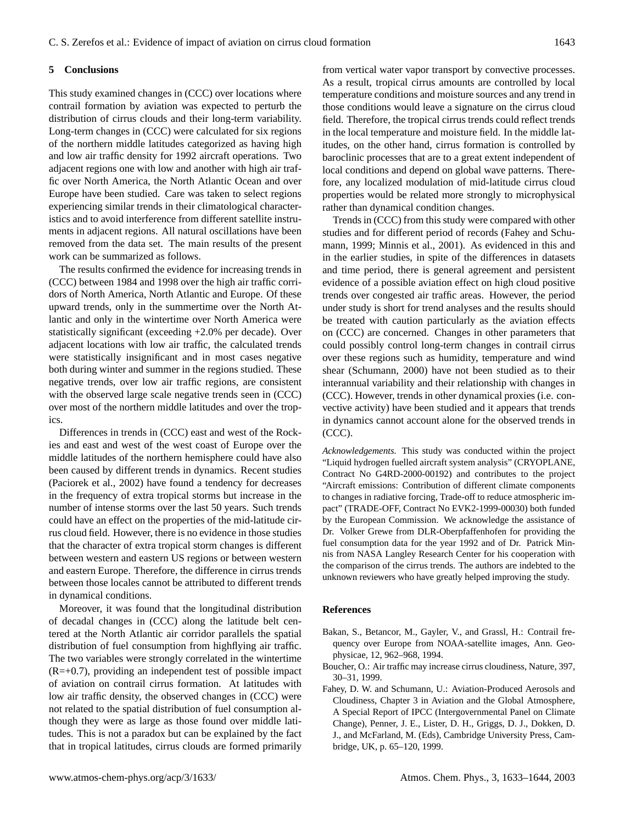## **5 Conclusions**

This study examined changes in (CCC) over locations where contrail formation by aviation was expected to perturb the distribution of cirrus clouds and their long-term variability. Long-term changes in (CCC) were calculated for six regions of the northern middle latitudes categorized as having high and low air traffic density for 1992 aircraft operations. Two adjacent regions one with low and another with high air traffic over North America, the North Atlantic Ocean and over Europe have been studied. Care was taken to select regions experiencing similar trends in their climatological characteristics and to avoid interference from different satellite instruments in adjacent regions. All natural oscillations have been removed from the data set. The main results of the present work can be summarized as follows.

The results confirmed the evidence for increasing trends in (CCC) between 1984 and 1998 over the high air traffic corridors of North America, North Atlantic and Europe. Of these upward trends, only in the summertime over the North Atlantic and only in the wintertime over North America were statistically significant (exceeding +2.0% per decade). Over adjacent locations with low air traffic, the calculated trends were statistically insignificant and in most cases negative both during winter and summer in the regions studied. These negative trends, over low air traffic regions, are consistent with the observed large scale negative trends seen in (CCC) over most of the northern middle latitudes and over the tropics.

Differences in trends in (CCC) east and west of the Rockies and east and west of the west coast of Europe over the middle latitudes of the northern hemisphere could have also been caused by different trends in dynamics. Recent studies (Paciorek et al., 2002) have found a tendency for decreases in the frequency of extra tropical storms but increase in the number of intense storms over the last 50 years. Such trends could have an effect on the properties of the mid-latitude cirrus cloud field. However, there is no evidence in those studies that the character of extra tropical storm changes is different between western and eastern US regions or between western and eastern Europe. Therefore, the difference in cirrus trends between those locales cannot be attributed to different trends in dynamical conditions.

Moreover, it was found that the longitudinal distribution of decadal changes in (CCC) along the latitude belt centered at the North Atlantic air corridor parallels the spatial distribution of fuel consumption from highflying air traffic. The two variables were strongly correlated in the wintertime  $(R=+0.7)$ , providing an independent test of possible impact of aviation on contrail cirrus formation. At latitudes with low air traffic density, the observed changes in (CCC) were not related to the spatial distribution of fuel consumption although they were as large as those found over middle latitudes. This is not a paradox but can be explained by the fact that in tropical latitudes, cirrus clouds are formed primarily from vertical water vapor transport by convective processes. As a result, tropical cirrus amounts are controlled by local temperature conditions and moisture sources and any trend in those conditions would leave a signature on the cirrus cloud field. Therefore, the tropical cirrus trends could reflect trends in the local temperature and moisture field. In the middle latitudes, on the other hand, cirrus formation is controlled by baroclinic processes that are to a great extent independent of local conditions and depend on global wave patterns. Therefore, any localized modulation of mid-latitude cirrus cloud properties would be related more strongly to microphysical rather than dynamical condition changes.

Trends in (CCC) from this study were compared with other studies and for different period of records (Fahey and Schumann, 1999; Minnis et al., 2001). As evidenced in this and in the earlier studies, in spite of the differences in datasets and time period, there is general agreement and persistent evidence of a possible aviation effect on high cloud positive trends over congested air traffic areas. However, the period under study is short for trend analyses and the results should be treated with caution particularly as the aviation effects on (CCC) are concerned. Changes in other parameters that could possibly control long-term changes in contrail cirrus over these regions such as humidity, temperature and wind shear (Schumann, 2000) have not been studied as to their interannual variability and their relationship with changes in (CCC). However, trends in other dynamical proxies (i.e. convective activity) have been studied and it appears that trends in dynamics cannot account alone for the observed trends in (CCC).

*Acknowledgements.* This study was conducted within the project "Liquid hydrogen fuelled aircraft system analysis" (CRYOPLANE, Contract No G4RD-2000-00192) and contributes to the project "Aircraft emissions: Contribution of different climate components to changes in radiative forcing, Trade-off to reduce atmospheric impact" (TRADE-OFF, Contract No EVK2-1999-00030) both funded by the European Commission. We acknowledge the assistance of Dr. Volker Grewe from DLR-Oberpfaffenhofen for providing the fuel consumption data for the year 1992 and of Dr. Patrick Minnis from NASA Langley Research Center for his cooperation with the comparison of the cirrus trends. The authors are indebted to the unknown reviewers who have greatly helped improving the study.

#### **References**

- Bakan, S., Betancor, M., Gayler, V., and Grassl, H.: Contrail frequency over Europe from NOAA-satellite images, Ann. Geophysicae, 12, 962–968, 1994.
- Boucher, O.: Air traffic may increase cirrus cloudiness, Nature, 397, 30–31, 1999.
- Fahey, D. W. and Schumann, U.: Aviation-Produced Aerosols and Cloudiness, Chapter 3 in Aviation and the Global Atmosphere, A Special Report of IPCC (Intergovernmental Panel on Climate Change), Penner, J. E., Lister, D. H., Griggs, D. J., Dokken, D. J., and McFarland, M. (Eds), Cambridge University Press, Cambridge, UK, p. 65–120, 1999.